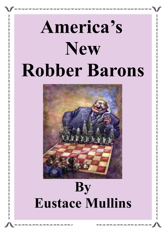# **America's New Robber Barons**



# **By Eustace Mullins**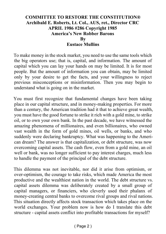#### **COMMITTEE TO RESTORE THE CONSTITUTION® Archibald E. Roberts, Lt. Col., AUS, ret., Director CRC APRIL 1986 #286 Copyright 1985 America's New Robber Barons By**

#### **Eustace Mullins**

To make money in the stock market, you need to use the same tools which the big operators use; that is, capital, and information. The amount of capital which you can lay your hands on may be limited. It is for most people. But the amount of information you can obtain, may be limited only by your desire to get the facts, and your willingness to reject previous misconceptions or misinformation. Then you may begin to understand what is going on in the market.

You must first recognize that fundamental changes have been taking place in our capital structure, and in money-making properties. For more than a century, the American tradition had it that to achieve great wealth, you must have the good fortune to strike it rich with a gold mine, to strike oil, or to own your own bank. In the past decade, we have witnessed the amazing phenomena of millionaires, and even billionaires, who owned vast wealth in the form of gold mines, oil wells, or banks, and who suddenly were declaring bankruptcy. What was happening to the American dream? The answer is that capitalization, or debt structure, was now overcoming capital assets. The cash flow, even from a gold mine, an oil well or bank, was no longer sufficient to pay interest charges, much less to handle the payment of the principal of the debt structure.

This dilemma was not inevitable, nor did it arise from optimism, or over-optimism, the courage to take risks, which made America the most productive and the wealthiest nation in the world. The debt structure vs. capital assets dilemma was deliberately created by a small group of capital managers, or financiers, who cleverly used their phalanx of money-creating central banks to overcome rival groups and rival nations. This situation directly affects stock transaction which takes place on the world exchanges. Your problem now is how do I translate this debt structure - capital assets conflict into profitable transactions for myself?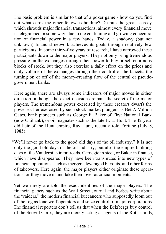The basic problem is similar to that of a poker game - how do you find out what cards the other fellow is holding? Despite the great secrecy which shrouds major financial transactions, almost every financial move is telegraphed in some way, due to the continuing and growing concentration of financial power in a few hands. Today, a shadowy (but not unknown) financial network achieves its goals through relatively few participants. In some thirty-five years of research, I have narrowed these participants down to the major players. They not only bring tremendous pressure on the exchanges through their power to buy or sell enormous blocks of stock, but they also exercise a daily effect on the prices and daily volume of the exchanges through their control of the faucets, the turning on or off of the money-creating flow of the central or pseudogovernment banks.

Here again, there are always some indicators of major moves in either direction, although the exact decisions remain the secret of the major players. The tremendous power exercised by these creators dwarfs the power earlier exercised by such stock market plungers as Bet A Million Gates, bank pioneers such as George F. Baker of First National Bank (now Citibank), or oil magnates such as the late H. L. Hunt. The 42-yearold heir of the Hunt empire, Ray Hunt, recently told Fortune (July 8, 1985):

"We'll never go back to the good old days of the oil industry." It is not only the good old days of the oil industry, but also the empire building days of the Vanderbilts in railroads, Carnegie in steel, or Baker in finance, which have disappeared. They have been transmuted into new types of financial operations, such as mergers, leveraged buyouts, and other forms of takeovers. Here again, the major players either originate these operations, or they move in and take them over at crucial moments.

Yet we rarely are told the exact identities of the major players. The financial papers such as the Wall Street Journal and Forbes write about the "raiders," the modern financial buccaneers who supposedly loom out of the fog as lone wolf operators and seize control of major corporations. The financial reporters don't tell us that when the Belzbergs buy control of the Scovill Corp., they are merely acting as agents of the Rothschilds,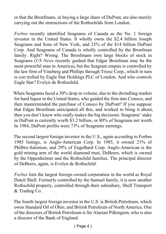or that the Bronfmans, in buying a large share of DuPont, are also merely carrying out the instructions of the Rothschilds from London.

*Forbes* recently identified Seagrams of Canada as the No. 1 foreign investor in the United States. It wholly owns the \$2.4 billion Joseph Seagrams and Sons of New York, and 23% of the \$14 billion DuPont Corp. And Seagrams of Canada is wholly controlled by the Bronfman family. Right? Wrong. The Bronfmans own large blocks of stock in Seagrams (*US News* recently gushed that Edgar Bronfman may be the most powerful man in America), but the Seagram empire is controlled by the law firm of Vineberg and Phillips through Trizec Corp., which in turn is con trolled by Eagle Star Holdings PLC of London. And who controls Eagle Star? Evelyn de Rothschild.

When Seagrams faced a 30% drop in volume, due to the dwindling market for hard liquor in the United States, who guided the firm into Conoco, and then masterminded the purchase of Conoco by DuPont? If you suppose that Edgar Bronfman anticipated all this, and worked to bring it about, then you don't know who really makes the big decisions. Seagrams' stake in DuPont is currently worth \$3.2 billion, or 80% of Seagrams net worth. In 1984, DuPont profits were 73% of Seagrams earnings.

The second largest foreign investor in the U.S., again according to Forbes 1985 listings, is Anglo-American Corp. In 1985, it owned 21% of Philbro-Salomon, and 29% of Engelhard Corp. Anglo-American is the gold mining arm of the world diamond trust, DeBeers, which is owned by the Oppenheimer and the Rothschild families. The principal director of DeBeers, again, is Evelyn de Rothschild.

*Forbes* lists the largest foreign owned corporation in the world as Royal Dutch Shell. Formerly controlled by the Samuel family, it is now another Rothschild property, controlled through their subsidiary, Shell Transport & Trading Co.

The fourth largest foreign investor in the U.S. is British Petroleum, which owns Standard Oil of Ohio, and British Petroleum of North America. One of the directors of British Petroleum is Sir Alastair Pilkington, who is also a director of the Bank of England.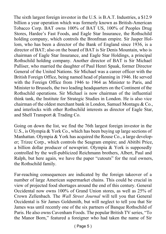The sixth largest foreign investor in the U.S. is B.A.T. Industries, a \$12.9 billion a year operation which was formerly known as British-American Tobacco Corp. BAT owns 100% of BAT US, 100% of Peoples Drug Stores, Hardee's Fast Foods, and Eagle Star Insurance, the Rothschild holding company, which controls the Bronfman empire. Sir Jasper Hollom, who has been a director of the Bank of England since 1936, is a director of BAT; also on the board of BAT is Sir Denis Mountain, who is chairman of Eagle Star Insurance, and Eagle Star Holdings, a principal Rothschild holding company. Another director of BAT is Sir Michael Palliser, who married the daughter of Paul Henri Spaak, former Director General of the United Nations. Sir Michael was a career officer with the British Foreign Office, being named head of planning in 1946. He served with the Foreign Office from 1946 to 1964 as Minister to Paris, and Minister to Brussels, the two leading headquarters on the Continent of the Rothschild operations. Sir Michael is now chairman of the influential think tank, the Institute for Strategic Studies in London. He is also vice chairman of the oldest merchant bank in London, Samuel Montagu & Co., and interlocks with other Rothschild interests as director of Eagle Star, and Shell Transport & Trading Co.

Going on down the list, we find the 76th largest foreign investor in the U.S., is Olympia & York Co., which has been buying up large sections of Manhattan. Olympia & York has acquired the Rouse Co., a large developer; Trizec Corp., which controls the Seagram empire; and Abitibi Price, a billion dollar producer of newsprint. Olympia & York is supposedly controlled by the well-publicized Reichmann brothers, Albert, Paul and Ralph, but here again, we have the paper "cutouts" for the real owners, the Rothschild family.

Far-reaching consequences are indicated by the foreign takeover of a number of large American supermarket chains. This could be crucial in view of projected food shortages around the end of this century. General Occidental now owns 100% of Grand Union stores, as well as 25% of Crown Zellenbach. The *Wall Street Journal* will tell you that General Occidental is Sir James Goldsmith, but will neglect to tell you that Sir James was until recently one of the six partners of Banque Rothschild of Paris. He also owns Cavenham Foods. The popular British TV series, "To the Manor Born," featured a foreigner who had taken the name of Sir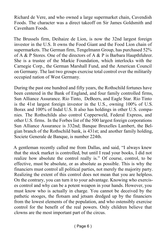Richard de Vere, and who owned a large supermarket chain, Cavendish Foods. The character was a direct takeoff on Sir James Goldsmith and Cavenham Foods.

The Brussels firm, Deihaize de Lion, is now the 32nd largest foreign investor in the U.S. It owns the Food Giant and the Food Lion chain of supermarkets. The German firm, Tengelmann Group, has purchased 52% of A & P Stores. One of the directors of A & P is Barbara Haupthfuhrer. She is a trustee of the Markie Foundation, which interlocks with the Carnegie Corp., the German Marshall Fund, and the American Council on Germany. The last two groups exercise total control over the militarily occupied nation of West Germany.

During the past one hundred and fifty years, the Rothschild fortunes have been centered in the Bank of England, and four family controlled firms, Sun Alliance Assurance. Rio Tinto, DeBeers, and Eagle Star. Rio Tinto is the 41st largest foreign investor in the U.S., owning 100% of U.S. Borax and 100% of Indal U.S. It also has holdings in other U.S. companies. The Rothschilds also control Copperweld, Federal Express, and other U.S. firms. In the Forbes list of the 500 largest foreign corporations Sun Alliance Assurance is 332nd; Banque Bruxelles Lambert, the Belgian branch of the Rothschild bank, is 431st; and another family holding, Societe Generale de Banque, is number 224th.

A gentleman recently called me from Dallas, and said, "I always knew that the stock market is controlled, but until I read your books, I did not realize how absolute the control really is." Of course, control, to be effective, must be absolute, or as absolute as possible. This is why the financiers must control all political parties, not merely the majority party. Realizing the extent of this control does not mean that you are helpless. On the contrary, you can turn it to your advantage. Knowing who exercises control and why can be a potent weapon in your hands. However, you must know who is actually in charge. You cannot be deceived by the pathetic stooges, the flotsam and jetsam dredged up by the financiers from the lowest elements of the population, and who ostensibly exercise control for the benefit of the real powers. Only children believe that clowns are the most important part of the circus.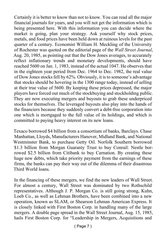Certainly it is better to know than not to know. You can read all the major financial journals for years, and you will not get the information which is being presented here. With this information you can decide where the market is going, plan your strategy. Ask yourself why stock prices, metals, and food prices have been held down at ruinous levels for the past quarter of a century. Economist William H. Meckling of the University of Rochester was quoted on the editorial page of the *Wall Street Journal*, Aug. 20, 1985, as pointing out that the Dow Jones averages, to accurately reflect inflationary trends and monetary developments, should have reached 5600 on Jan. 1, 1983, instead of the actual 1047. He observes that in the eighteen year period from Dec. 1964 to Dec. 1982, the real value of Dow Jones stocks fell by 62%. Obviously, it is to someone's advantage that stocks should be hovering in the 1300 range today, instead of selling at their true value of 5600. By keeping these prices depressed, the major players have forced out much of the stockbuying and stockholding public. They are now executing mergers and buyouts to grab these underpriced stocks for themselves. The leveraged buyouts also play into the hands of the financiers because they suddenly convert a debt-free corporation into one which is mortgaged to the full value of its holdings, and which is committed to paying heavy interest on its new loans.

Texaco borrowed \$4 billion from a consortium of banks, Barclays. Chase Manhattan, Lloyds, Manufacturers Hanover, Midland Bank, and National Westminster Bank, to purchase Getty Oil. Norfolk Southern borrowed \$1.3 billion from Morgan Guaranty Trust to buy Conrail: Nestle borrowed \$2.5 billion from Citibank to buy Carnation. By creating these huge new debts, which take priority payment from the earnings of these firms, the banks can pay their way out of the dilemma of their disastrous Third World loans.

In the financing of these mergers, we find the new leaders of Wall Street. For almost a century, Wall Street was dominated by two Rothschild representatives. Although J. P. Morgan Co. is still going strong, Kuhn, Loeb Co., as well as Lehman Brothers, have been combined into a new operation, known as SLAM, or Shearson Lehman American Express. It is closely linked with First Boston Corp. in handling many of the large mergers. A double page spread in the Wall Street Journal, Aug. 15, 1985, hails First Boston Corp. for "Leadership in Mergers, Acquisitions and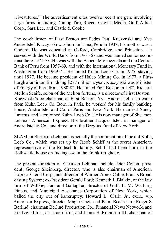Divestitures." The advertisement cites twelve recent mergers involving large firms, including Dunlop Tire, Revco, Cowles Media, Gulf, Allied Corp., Sara Lee, and Castle & Cooke.

The co-chairmen of First Boston are Pedro Paul Kuczynski and Yve Andre Istel. Kuczynski was born in Lima, Peru in 1938; his mother was a Godard. He was educated at Oxford, Cambridge, and Princeton. He served with the World Bank from 1961-67 and was named senior economist there 1971-73. He was with the Banco de Venezuela and the Central Bank of Peru from 1957-69, and with the International Monetary Fund in Washington from 1969-71. He joined Kuhn, Loeb Co. in 1975, staying until 1977. He became president of Halco Mining Co. in 1977, a Pittsburgh aluminum firm doing \$277 million a year. Kuczynski was Minister of Energy of Peru from 1980-82. He joined First Boston in 1982. Richard Mellon Scaife, scion of the Mellon fortune, is a director of First Boston. Kuczynski's co-chairman at First Boston, Yve Andre Istel, also came from Kuhn Loeb Co. Born in Paris, he worked for his family banking house, Andre Istel and Co. of Paris and New York. He married Nancy Lazarus, and later joined Kuhn, Loeb Co. He is now manager of Shearson Lehman American Express. His brother Jacques Istel, is manager of Andre Istel & Co., and director of the Dreyfus Fund of New York.

SLAM, or Shearson Lehman, is actually the continuation of the old Kuhn, Loeb Co., which was set up by Jacob Schiff as the secret American representative of the Rothschild family. Schiff had been born in the Rothschild house on Judengasse in the Frankfurt ghetto.

The present directors of Shearson Lehman include Peter Cohen, president; George Sheinberg, director, who is also chairman of American Express Credit Corp., and director of Warner-Amex Cable, Franks Broadcasting System; ex-President Gerald Ford; Kenneth J. Bialkin, of the law firm of Willkie, Farr and Gallagher, director of Gulf, E. M. Warburg Pincus, and Municipal Assistance Corporation of New York, which bailed the city out of bankruptcy; Howard L. Clark, Jr., exec., v.p. American Express, director Magic Chef, and Palm Beach Co.; Roger S. Berlind, chairman Berlind Production Co., Financial News Network, and Etz Lavud Inc., an Israeli firm; and James S. Robinson III, chairman of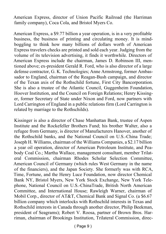American Express, director of Union Pacific Railroad (the Harriman family company), Coca Cola, and Bristol Myers Co.

American Express, a \$9.77 billion a year operation, is in a very profitable business, the business of printing and circulating money. It is mindboggling to think how many billions of dollars worth of American Express travelers checks are printed and sold each year. Judging from the volume of its television advertising, it finds it worthwhile. Directors of American Express include the chairman, James D. Robinson III, mentioned above; ex-president Gerald R. Ford, who is also director of a large defense contractor, G. K. Technologies; Anne Armstrong, former Ambassador to England, chairman of the Reagan-Bush campaign, and director of the Texan axis of the Rothschild fortune, First City Bancorporation. She is also a trustee of the Atlantic Council, Guggenheim Foundation, Hoover Institution, and the Council on Foreign Relations; Henry Kissinger, former Secretary of State under Nixon and Ford, now partners with Lord Carrington of England in a public relations firm (Lord Carrington is related by marriage to the Rothschilds).

Kissinger is also a director of Chase Manhattan Bank, trustee of Aspen Institute and the Rockefeller Brothers Fund; his brother Walter, also a refugee from Germany, is director of Manufacturers Hanover, another of the Rothschild banks, and the National Council on U.S.-China Trade; Joseph H. Williams, chairman of the Williams Companies, a \$2.17 billion a year oil operation, director of American Petroleum Institute, and Peabody Coal Co.; Martha Wallace, management consultant, member Trilateral Commission, chairman Rhodes Scholar Selection Committee, American Council of Germany (which rules West Germany in the name of the financiers), and the Japan Society. She formerly was with RCA, Time, Fortune, and the Henry Luce Foundation, now director Chemical Bank NY, Bristol Myers, New York Stock Exchange, New York Telephone, National Council on U.S.-ChinaTrade, British North American Committee, and International House; Rawleigh Warner, chairman of Mobil Corp., director of AT&T, Chemical Bank and Signal Co. (a \$6.67 billion company which interlocks with Rothschild interests in Texas and Rothschild interests in Canada through another director, Philip Beekman, president of Seagrams); Robert V. Roosa, partner of Brown Bros. Harriman, chairman of Brookings Institution, Trilateral Commission, direc-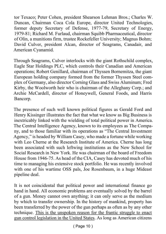tor Texaco; Peter Cohen, president Shearson Lehman Bros.; Charles W. Duncan, Chairman Coca Cola Europe, director United Technologies, former deputy Secretary of Defense, 1977-79, Secretary of Energy, 1979-81; Richard M. Furlaud, chairman Squibb Pharmaceutical, director of Olin, a munitions firm, trustee Rockefeller University; Magnus Bohm; David Culver, president Alcan, director of Seagrams, Canadair, and American Cyanamid.

Through Seagrams, Culver interlocks with the giant Rothschild complex, Eagle Star Holdings PLC, which controls their Canadian and American operations; Robert Genillard, chairman of Thyssen Bornemitza, the giant European holding company formed from the former Thyssen Steel complex of Germany, also director Corning Glass and Swiss Aluminum; Fred Kirby, the Woolworth heir who is chairman of the Alleghany Corp.; and Archie McCardell, director of Honeywell, General Foods, and Harris Bancorp.

The presence of such well known political figures as Gerald Ford and Henry Kissinger illustrates the fact that what we know as Big Business is inextricably linked with the wielding of total political power in America. The Central Intelligence Agency, known to its employees as The Company, and to those familiar with its operations as "The Central Investment Agency," is headed by William Casey, who made a fortune while working with Leo Cherne at the Research Institute of America. Cherne has long been associated with such leftwing institutions as the New School for Social Research in New York. He was chairman of the board of Freedom House from 1946-75. As head of the CIA, Casey has devoted much of his time to managing his extensive stock portfolio. He was recently involved with one of his wartime OSS pals, Joe Rosenbaum, in a huge Mideast pipeline deal.

It is not coincidental that political power and international finance go hand in hand. All economic problems are eventually solved by the barrel of a gun. Money cannot own anything; it can only serve as the medium by which to transfer ownership. In the history of mankind, property has been transferred by the power of the gun perhaps as often as by any other technique. This is the unspoken reason for the frantic struggle to enact gun control legislation in the United States. As long as American citizens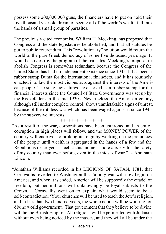possess some 200,000,000 guns, the financiers have to put on hold their five thousand year old dream of seeing all of the world's wealth fall into the hands of a small group of parasites.

The previously cited economist, William H. Meckling, has proposed that Congress and the state legislatures be abolished, and that all statutes be put to public referendum. This "revolutionary" solution would return the world to the pure Greek democracy of some five thousand years ago. It would also destroy the program of the parasites. Meckling's proposal to abolish Congress is somewhat redundant, because the Congress of the United States has had no independent existence since 1945. It has been a rubber stamp Duma for the international financiers, and it has routinely enacted into law the most vicious acts against the interests of the American people. The state legislatures have served as a rubber stamp for the financial interests since the Council of State Governments was set up by the Rockefellers in the mid-1930s. Nevertheless, the American colony, although still under complete control, shows unmistakable signs of unrest, because of the ruthless war which has been waged against it since 1945 by the subversive interests.

#### +++++++++++++++++

"As a result of the war, corporations have been enthroned and an era of corruption in high places will follow, and the MONEY POWER of the country will endeavor to prolong its reign by working on the prejudices of the people until wealth is aggregated in the hands of a few and the Republic is destroyed. I feel at this moment more anxiety for the safety of my country than ever before, even in the midst of war." - Abraham Lincoln.

"Jonathan Williams recorded in his LEGIONS OF SATAN, 1781, that Cornwallis revealed to Washington that 'a holy war will now begin on America, and when it is ended, America will be supposedly the citadel of freedom, but her millions will unknowingly be loyal subjects to the Crown.' Cornwallis went on to explain what would seem to be a self-contradiction: 'Your churches will be used to teach the Jew's religion, and in less than two hundred years, the whole nation will be working for divine world government. That government that they believe to be divine will be the British Empire. All religions will be permeated with Judaism without even being noticed by the masses, and they will all be under the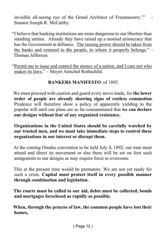invisible all-seeing eye of the Grand Architect of Freemasonry." Senator Joseph R. McCarthy.

"I believe that banking institutions are more dangerous to our liberties than standing armies. Already they have raised up a monied aristocracy that has the Government at defiance. The issuing power should be taken from the banks and restored to the people, to whom it properly belongs." – Thomas Jefferson.

"Permit me to issue and control the money of a nation, and I care not who makes its laws." – Meyer Amschel Rothschild.

#### **BANKERS MANIFESTO** of 1892

We must proceed with caution and guard every move made, for **the lower order of people are already showing signs of restless commotion**. Prudence will therefore show a policy of apparently yielding to the popular will until our plans are so far consummated that **we can declare our designs without fear of any organized resistance.**

**Organizations in the United States should be carefully watched by our trusted men, and we must take immediate steps to control these organizations in our interest or disrupt them.**

At the coming Omaha convention to be held July 4, 1892, our men must attend and direct its movement or else there will be set on foot such antagonism to our designs as may require force to overcome.

This at the present time would be premature. We are not yet ready for such a crisis. **Capital must protect itself in every possible manner through combination and legislation.**

**The courts must be called to our aid, debts must be collected, bonds and mortgages foreclosed as rapidly as possible.**

**When, through the process of law, the common people have lost their homes,**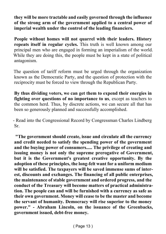**they will be more tractable and easily governed through the influence of the strong arm of the government applied to a central power of imperial wealth under the control of the leading financiers.**

**People without homes will not quarrel with their leaders. History repeats itself in regular cycles.** This truth is well known among our principal men who are engaged in forming an imperialism of the world. While they are doing this, the people must be kept in a state of political antagonism.

The question of tariff reform must be urged through the organization known as the Democratic Party, and the question of protection with the reciprocity must be forced to view through the Republican Party.

**By thus dividing voters, we can get them to expend their energies in fighting over questions of no importance to us**, except as teachers to the common herd. Thus, by discrete actions, we can secure all that has been so generously planned and successfully accomplished.

- Read into the Congressional Record by Congressman Charles Lindberg Sr.

**"The government should create, issue and circulate all the currency and credit needed to satisfy the spending power of the government and the buying power of consumers..... The privilege of creating and issuing money is not only the supreme prerogative of Government, but it is the Government's greatest creative opportunity. By the adoption of these principles, the long-felt want for a uniform medium will be satisfied. The taxpayers will be saved immense sums of interest, discounts and exchanges. The financing of all public enterprises, the maintenance of stable government and ordered progress, and the conduct of the Treasury will become matters of practical administration. The people can and will be furnished with a currency as safe as their own government. Money will cease to be the master and become the servant of humanity. Democracy will rise superior to the money power." - Abraham Lincoln, on the issuance of the Greenbacks, government issued, debt-free money.**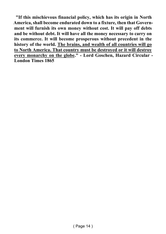**"If this mischievous financial policy, which has its origin in North America, shall become endurated down to a fixture, then that Government will furnish its own money without cost. It will pay off debts and be without debt. It will have all the money necessary to carry on its commerce. It will become prosperous without precedent in the history of the world. The brains, and wealth of all countries will go to North America. That country must be destroyed or it will destroy every monarchy on the globe." - Lord Goschen, Hazard Circular - London Times 1865**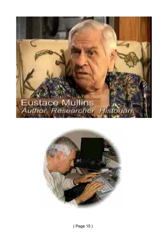